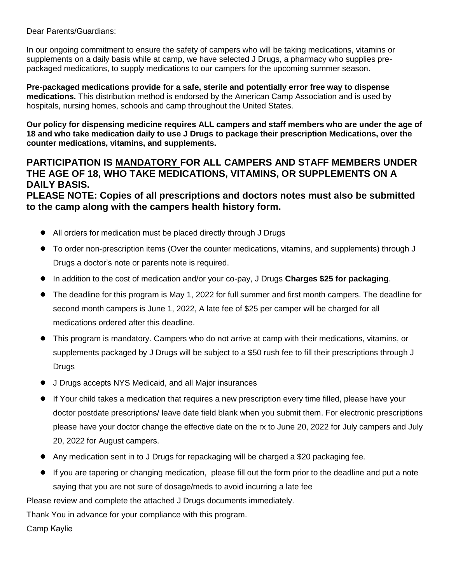Dear Parents/Guardians:

In our ongoing commitment to ensure the safety of campers who will be taking medications, vitamins or supplements on a daily basis while at camp, we have selected J Drugs, a pharmacy who supplies prepackaged medications, to supply medications to our campers for the upcoming summer season.

**Pre-packaged medications provide for a safe, sterile and potentially error free way to dispense medications.** This distribution method is endorsed by the American Camp Association and is used by hospitals, nursing homes, schools and camp throughout the United States.

**Our policy for dispensing medicine requires ALL campers and staff members who are under the age of 18 and who take medication daily to use J Drugs to package their prescription Medications, over the counter medications, vitamins, and supplements.**

# **PARTICIPATION IS MANDATORY FOR ALL CAMPERS AND STAFF MEMBERS UNDER THE AGE OF 18, WHO TAKE MEDICATIONS, VITAMINS, OR SUPPLEMENTS ON A DAILY BASIS.**

**PLEASE NOTE: Copies of all prescriptions and doctors notes must also be submitted to the camp along with the campers health history form.**

- **●** All orders for medication must be placed directly through J Drugs
- To order non-prescription items (Over the counter medications, vitamins, and supplements) through **J** Drugs a doctor's note or parents note is required.
- **●** In addition to the cost of medication and/or your co-pay, J Drugs **Charges \$25 for packaging**.
- **●** The deadline for this program is May 1, 2022 for full summer and first month campers. The deadline for second month campers is June 1, 2022, A late fee of \$25 per camper will be charged for all medications ordered after this deadline.
- **●** This program is mandatory. Campers who do not arrive at camp with their medications, vitamins, or supplements packaged by J Drugs will be subject to a \$50 rush fee to fill their prescriptions through J **Drugs**
- **●** J Drugs accepts NYS Medicaid, and all Major insurances
- **●** If Your child takes a medication that requires a new prescription every time filled, please have your doctor postdate prescriptions/ leave date field blank when you submit them. For electronic prescriptions please have your doctor change the effective date on the rx to June 20, 2022 for July campers and July 20, 2022 for August campers.
- **●** Any medication sent in to J Drugs for repackaging will be charged a \$20 packaging fee.
- **●** If you are tapering or changing medication, please fill out the form prior to the deadline and put a note saying that you are not sure of dosage/meds to avoid incurring a late fee

Please review and complete the attached J Drugs documents immediately.

Thank You in advance for your compliance with this program.

Camp Kaylie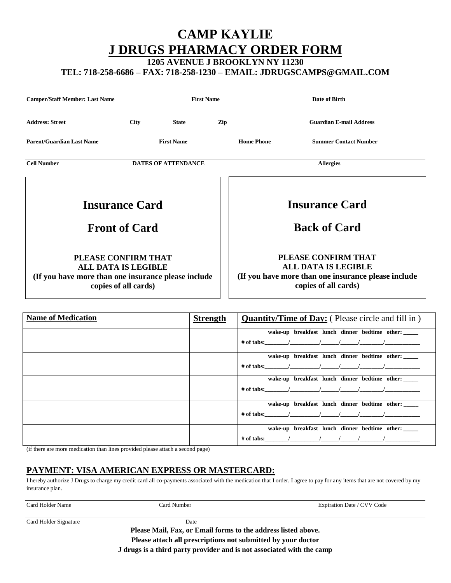# **CAMP KAYLIE J DRUGS PHARMACY ORDER FORM**

**1205 AVENUE J BROOKLYN NY 11230**

**TEL: 718-258-6686 – FAX: 718-258-1230 – EMAIL: JDRUGSCAMPS@GMAIL.COM**

| <b>Camper/Staff Member: Last Name</b>                                                                                            |                            | <b>First Name</b> |                                                                                                                                   | Date of Birth                                |                                |
|----------------------------------------------------------------------------------------------------------------------------------|----------------------------|-------------------|-----------------------------------------------------------------------------------------------------------------------------------|----------------------------------------------|--------------------------------|
| <b>Address: Street</b>                                                                                                           | <b>City</b>                | <b>State</b>      | Zip                                                                                                                               |                                              | <b>Guardian E-mail Address</b> |
| <b>Parent/Guardian Last Name</b>                                                                                                 |                            | <b>First Name</b> |                                                                                                                                   | <b>Home Phone</b>                            | <b>Summer Contact Number</b>   |
| <b>Cell Number</b>                                                                                                               | <b>DATES OF ATTENDANCE</b> |                   | <b>Allergies</b>                                                                                                                  |                                              |                                |
| <b>Insurance Card</b><br><b>Front of Card</b>                                                                                    |                            |                   |                                                                                                                                   | <b>Insurance Card</b><br><b>Back of Card</b> |                                |
| PLEASE CONFIRM THAT<br><b>ALL DATA IS LEGIBLE</b><br>(If you have more than one insurance please include<br>copies of all cards) |                            |                   | PLEASE CONFIRM THAT<br><b>ALL DATA IS LEGIBLE</b><br>(If you have more than one insurance please include)<br>copies of all cards) |                                              |                                |

| <b>Name of Medication</b> | <b>Strength</b> | <b>Quantity/Time of Day:</b> (Please circle and fill in)                                                                      |
|---------------------------|-----------------|-------------------------------------------------------------------------------------------------------------------------------|
|                           |                 | wake-up breakfast lunch dinner bedtime other:<br># of tabs: $(1)$ $(1)$ $(1)$ $(1)$                                           |
|                           |                 | wake-up breakfast lunch dinner bedtime other:<br># of tabs: $\qquad \qquad / \qquad \qquad / \qquad \qquad / \qquad \qquad /$ |
|                           |                 | wake-up breakfast lunch dinner bedtime other:<br># of tabs: $\qquad \qquad / \qquad \qquad / \qquad \qquad / \qquad \qquad /$ |
|                           |                 | wake-up breakfast lunch dinner bedtime other:<br># of tabs: $\qquad \qquad / \qquad \qquad / \qquad \qquad / \qquad \qquad /$ |
|                           |                 | wake-up breakfast lunch dinner bedtime other:<br># of tabs: $\qquad \qquad / \qquad \qquad / \qquad \qquad / \qquad \qquad /$ |

(if there are more medication than lines provided please attach a second page)

# **PAYMENT: VISA AMERICAN EXPRESS OR MASTERCARD:**

I hereby authorize J Drugs to charge my credit card all co-payments associated with the medication that I order. I agree to pay for any items that are not covered by my insurance plan.

| Card Holder Name      | Card Number | Expiration Date / CVV Code |
|-----------------------|-------------|----------------------------|
| Card Holder Signature | Date        |                            |

**Please Mail, Fax, or Email forms to the address listed above. Please attach all prescriptions not submitted by your doctor J drugs is a third party provider and is not associated with the camp**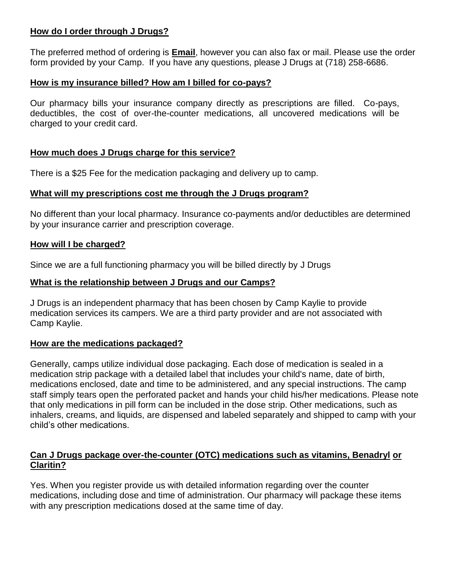# **How do I order through J Drugs?**

The preferred method of ordering is **Email**, however you can also fax or mail. Please use the order form provided by your Camp. If you have any questions, please J Drugs at (718) 258-6686.

## **How is my insurance billed? How am I billed for co-pays?**

Our pharmacy bills your insurance company directly as prescriptions are filled. Co-pays, deductibles, the cost of over-the-counter medications, all uncovered medications will be charged to your credit card.

## **How much does J Drugs charge for this service?**

There is a \$25 Fee for the medication packaging and delivery up to camp.

## **What will my prescriptions cost me through the J Drugs program?**

No different than your local pharmacy. Insurance co-payments and/or deductibles are determined by your insurance carrier and prescription coverage.

## **How will I be charged?**

Since we are a full functioning pharmacy you will be billed directly by J Drugs

## **What is the relationship between J Drugs and our Camps?**

J Drugs is an independent pharmacy that has been chosen by Camp Kaylie to provide medication services its campers. We are a third party provider and are not associated with Camp Kaylie.

# **How are the medications packaged?**

Generally, camps utilize individual dose packaging. Each dose of medication is sealed in a medication strip package with a detailed label that includes your child's name, date of birth, medications enclosed, date and time to be administered, and any special instructions. The camp staff simply tears open the perforated packet and hands your child his/her medications. Please note that only medications in pill form can be included in the dose strip. Other medications, such as inhalers, creams, and liquids, are dispensed and labeled separately and shipped to camp with your child's other medications.

# **Can J Drugs package over-the-counter (OTC) medications such as vitamins, Benadryl or Claritin?**

Yes. When you register provide us with detailed information regarding over the counter medications, including dose and time of administration. Our pharmacy will package these items with any prescription medications dosed at the same time of day.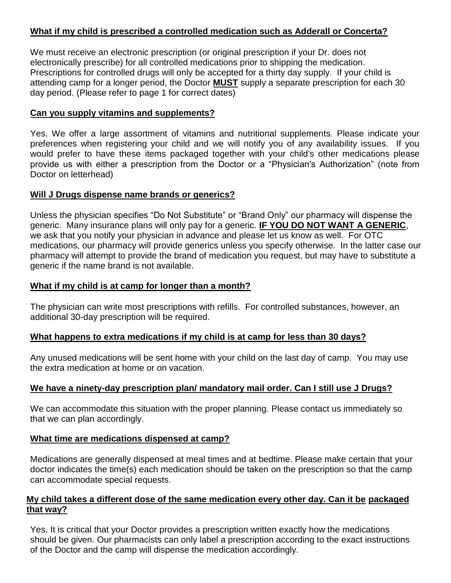# **What if my child is prescribed a controlled medication such as Adderall or Concerta?**

We must receive an electronic prescription (or original prescription if your Dr. does not electronically prescribe) for all controlled medications prior to shipping the medication. Prescriptions for controlled drugs will only be accepted for a thirty day supply. If your child is attending camp for a longer period, the Doctor **MUST** supply a separate prescription for each 30 day period. (Please refer to page 1 for correct dates)

#### **Can you supply vitamins and supplements?**

Yes. We offer a large assortment of vitamins and nutritional supplements. Please indicate your preferences when registering your child and we will notify you of any availability issues. If you would prefer to have these items packaged together with your child's other medications please provide us with either a prescription from the Doctor or a "Physician's Authorization" (note from Doctor on letterhead)

#### **Will J Drugs dispense name brands or generics?**

Unless the physician specifies "Do Not Substitute" or "Brand Only" our pharmacy will dispense the generic. Many insurance plans will only pay for a generic. **IF YOU DO NOT WANT A GENERIC**, we ask that you notify your physician in advance and please let us know as well. For OTC medications, our pharmacy will provide generics unless you specify otherwise. In the latter case our pharmacy will attempt to provide the brand of medication you request, but may have to substitute a generic if the name brand is not available.

#### **What if my child is at camp for longer than a month?**

The physician can write most prescriptions with refills. For controlled substances, however, an additional 30-day prescription will be required.

#### **What happens to extra medications if my child is at camp for less than 30 days?**

Any unused medications will be sent home with your child on the last day of camp. You may use the extra medication at home or on vacation.

#### **We have a ninety-day prescription plan/ mandatory mail order. Can I still use J Drugs?**

We can accommodate this situation with the proper planning. Please contact us immediately so that we can plan accordingly.

#### **What time are medications dispensed at camp?**

Medications are generally dispensed at meal times and at bedtime. Please make certain that your doctor indicates the time(s) each medication should be taken on the prescription so that the camp can accommodate special requests.

#### **My child takes a different dose of the same medication every other day. Can it be packaged that way?**

Yes. It is critical that your Doctor provides a prescription written exactly how the medications should be given. Our pharmacists can only label a prescription according to the exact instructions of the Doctor and the camp will dispense the medication accordingly.